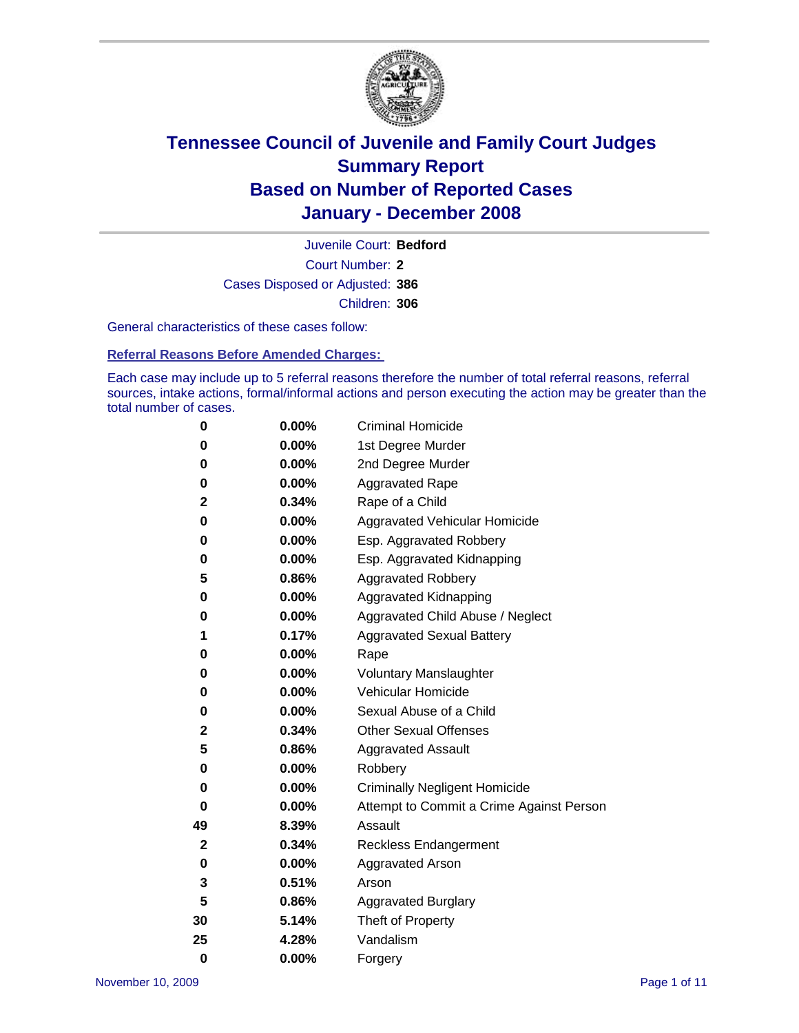

Court Number: **2** Juvenile Court: **Bedford** Cases Disposed or Adjusted: **386** Children: **306**

General characteristics of these cases follow:

**Referral Reasons Before Amended Charges:** 

Each case may include up to 5 referral reasons therefore the number of total referral reasons, referral sources, intake actions, formal/informal actions and person executing the action may be greater than the total number of cases.

| 0        | 0.00%    | <b>Criminal Homicide</b>                 |
|----------|----------|------------------------------------------|
| 0        | 0.00%    | 1st Degree Murder                        |
| 0        | $0.00\%$ | 2nd Degree Murder                        |
| 0        | 0.00%    | <b>Aggravated Rape</b>                   |
| 2        | 0.34%    | Rape of a Child                          |
| 0        | 0.00%    | Aggravated Vehicular Homicide            |
| 0        | 0.00%    | Esp. Aggravated Robbery                  |
| 0        | 0.00%    | Esp. Aggravated Kidnapping               |
| 5        | 0.86%    | <b>Aggravated Robbery</b>                |
| 0        | 0.00%    | Aggravated Kidnapping                    |
| 0        | 0.00%    | Aggravated Child Abuse / Neglect         |
| 1        | 0.17%    | <b>Aggravated Sexual Battery</b>         |
| 0        | 0.00%    | Rape                                     |
| 0        | 0.00%    | <b>Voluntary Manslaughter</b>            |
| 0        | 0.00%    | Vehicular Homicide                       |
| 0        | 0.00%    | Sexual Abuse of a Child                  |
| 2        | 0.34%    | <b>Other Sexual Offenses</b>             |
| 5        | 0.86%    | <b>Aggravated Assault</b>                |
| 0        | $0.00\%$ | Robbery                                  |
| 0        | 0.00%    | <b>Criminally Negligent Homicide</b>     |
| 0        | 0.00%    | Attempt to Commit a Crime Against Person |
| 49       | 8.39%    | Assault                                  |
| 2        | 0.34%    | <b>Reckless Endangerment</b>             |
| 0        | 0.00%    | Aggravated Arson                         |
| 3        | 0.51%    | Arson                                    |
| 5        | 0.86%    | <b>Aggravated Burglary</b>               |
| 30       | 5.14%    | Theft of Property                        |
| 25       | 4.28%    | Vandalism                                |
| $\bf{0}$ | 0.00%    | Forgery                                  |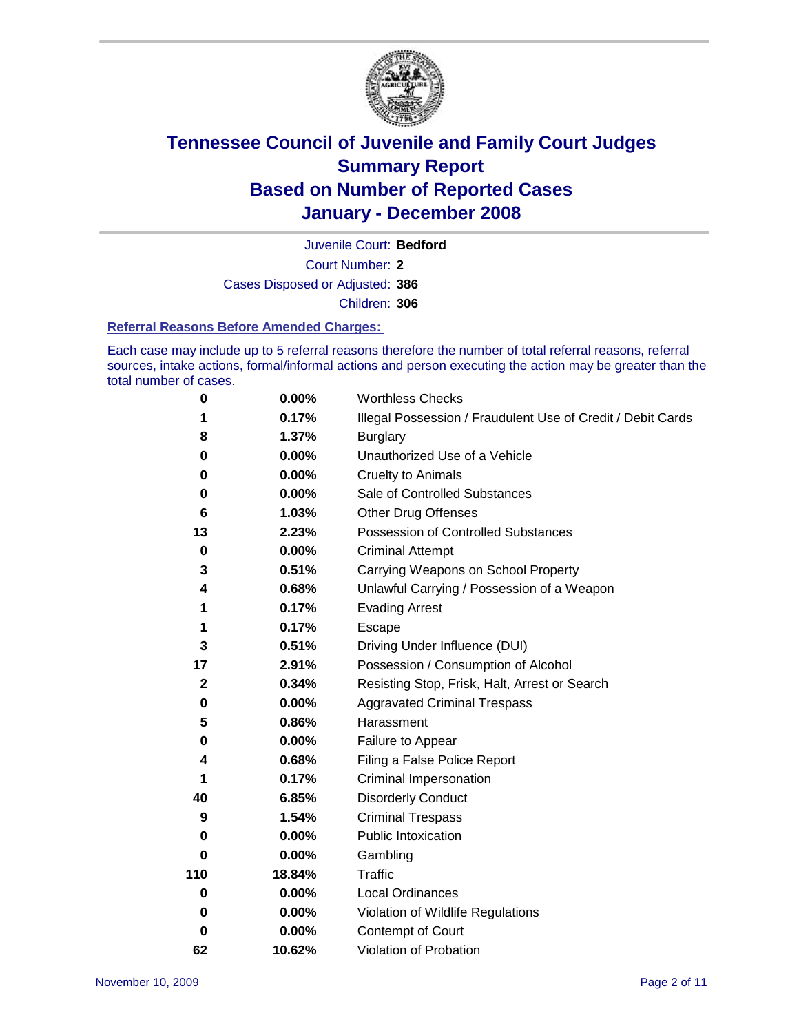

Court Number: **2** Juvenile Court: **Bedford** Cases Disposed or Adjusted: **386** Children: **306**

#### **Referral Reasons Before Amended Charges:**

Each case may include up to 5 referral reasons therefore the number of total referral reasons, referral sources, intake actions, formal/informal actions and person executing the action may be greater than the total number of cases.

| 0            | 0.00%    | <b>Worthless Checks</b>                                     |
|--------------|----------|-------------------------------------------------------------|
| 1            | 0.17%    | Illegal Possession / Fraudulent Use of Credit / Debit Cards |
| 8            | 1.37%    | <b>Burglary</b>                                             |
| 0            | $0.00\%$ | Unauthorized Use of a Vehicle                               |
| 0            | 0.00%    | <b>Cruelty to Animals</b>                                   |
| 0            | $0.00\%$ | Sale of Controlled Substances                               |
| 6            | 1.03%    | <b>Other Drug Offenses</b>                                  |
| 13           | 2.23%    | Possession of Controlled Substances                         |
| $\mathbf 0$  | 0.00%    | <b>Criminal Attempt</b>                                     |
| 3            | 0.51%    | Carrying Weapons on School Property                         |
| 4            | 0.68%    | Unlawful Carrying / Possession of a Weapon                  |
| 1            | 0.17%    | <b>Evading Arrest</b>                                       |
| 1            | 0.17%    | Escape                                                      |
| 3            | 0.51%    | Driving Under Influence (DUI)                               |
| 17           | 2.91%    | Possession / Consumption of Alcohol                         |
| $\mathbf{2}$ | 0.34%    | Resisting Stop, Frisk, Halt, Arrest or Search               |
| 0            | $0.00\%$ | <b>Aggravated Criminal Trespass</b>                         |
| 5            | 0.86%    | Harassment                                                  |
| 0            | 0.00%    | Failure to Appear                                           |
| 4            | 0.68%    | Filing a False Police Report                                |
|              | 0.17%    | Criminal Impersonation                                      |
| 40           | 6.85%    | <b>Disorderly Conduct</b>                                   |
| 9            | 1.54%    | <b>Criminal Trespass</b>                                    |
| 0            | 0.00%    | <b>Public Intoxication</b>                                  |
| 0            | 0.00%    | Gambling                                                    |
| 110          | 18.84%   | Traffic                                                     |
| 0            | 0.00%    | <b>Local Ordinances</b>                                     |
| 0            | $0.00\%$ | Violation of Wildlife Regulations                           |
| 0            | 0.00%    | Contempt of Court                                           |
| 62           | 10.62%   | Violation of Probation                                      |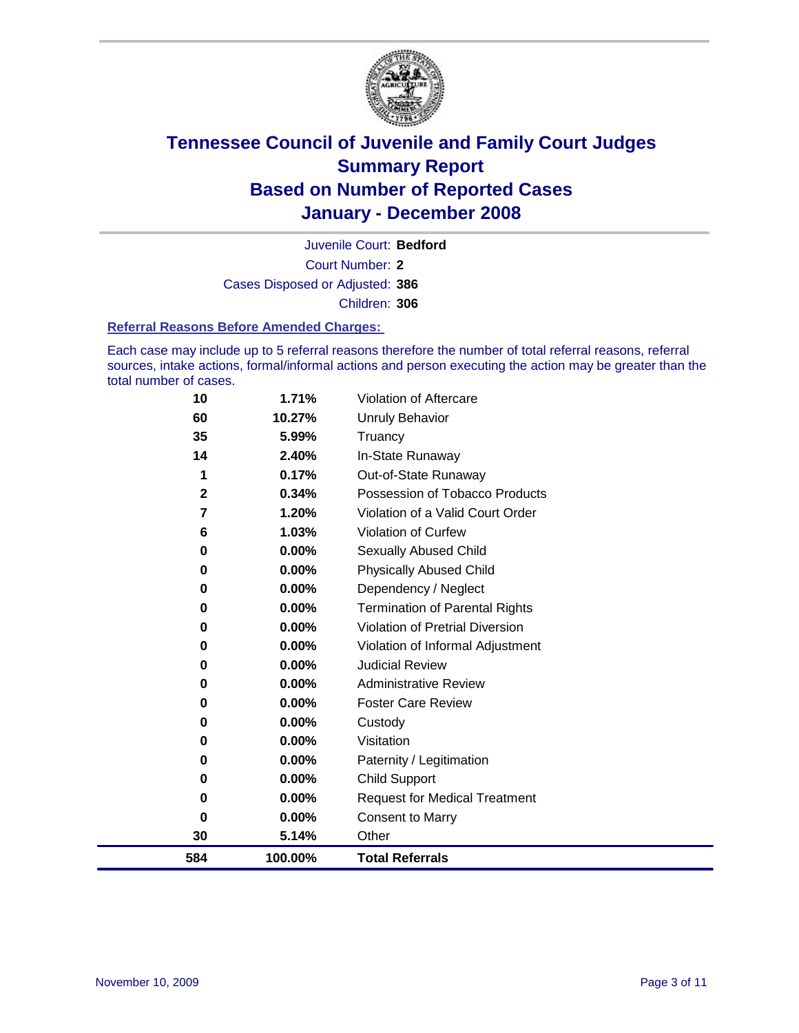

Court Number: **2** Juvenile Court: **Bedford** Cases Disposed or Adjusted: **386** Children: **306**

#### **Referral Reasons Before Amended Charges:**

Each case may include up to 5 referral reasons therefore the number of total referral reasons, referral sources, intake actions, formal/informal actions and person executing the action may be greater than the total number of cases.

| 10          | 1.71%   | Violation of Aftercare                 |
|-------------|---------|----------------------------------------|
| 60          | 10.27%  | Unruly Behavior                        |
| 35          | 5.99%   | Truancy                                |
| 14          | 2.40%   | In-State Runaway                       |
| 1           | 0.17%   | Out-of-State Runaway                   |
| $\mathbf 2$ | 0.34%   | Possession of Tobacco Products         |
| 7           | 1.20%   | Violation of a Valid Court Order       |
| 6           | 1.03%   | Violation of Curfew                    |
| $\bf{0}$    | 0.00%   | Sexually Abused Child                  |
| 0           | 0.00%   | <b>Physically Abused Child</b>         |
| 0           | 0.00%   | Dependency / Neglect                   |
| $\bf{0}$    | 0.00%   | <b>Termination of Parental Rights</b>  |
| 0           | 0.00%   | <b>Violation of Pretrial Diversion</b> |
| 0           | 0.00%   | Violation of Informal Adjustment       |
| 0           | 0.00%   | <b>Judicial Review</b>                 |
| 0           | 0.00%   | <b>Administrative Review</b>           |
| $\bf{0}$    | 0.00%   | <b>Foster Care Review</b>              |
| 0           | 0.00%   | Custody                                |
| 0           | 0.00%   | Visitation                             |
| 0           | 0.00%   | Paternity / Legitimation               |
| 0           | 0.00%   | <b>Child Support</b>                   |
| 0           | 0.00%   | <b>Request for Medical Treatment</b>   |
| $\bf{0}$    | 0.00%   | <b>Consent to Marry</b>                |
| 30          | 5.14%   | Other                                  |
| 584         | 100.00% | <b>Total Referrals</b>                 |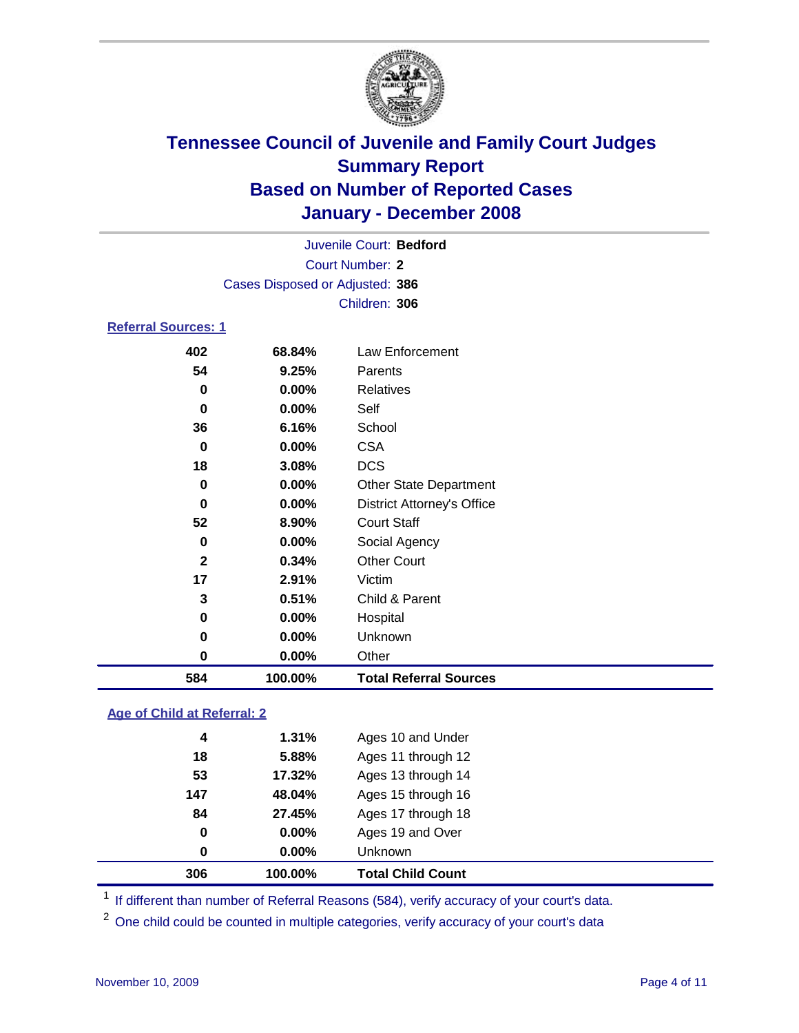

Court Number: **2** Juvenile Court: **Bedford** Cases Disposed or Adjusted: **386** Children: **306**

### **Referral Sources: 1**

| 584          | 100.00% | <b>Total Referral Sources</b>     |
|--------------|---------|-----------------------------------|
| 0            | 0.00%   | Other                             |
| 0            | 0.00%   | Unknown                           |
| 0            | 0.00%   | Hospital                          |
| 3            | 0.51%   | Child & Parent                    |
| 17           | 2.91%   | Victim                            |
| $\mathbf{2}$ | 0.34%   | <b>Other Court</b>                |
| 0            | 0.00%   | Social Agency                     |
| 52           | 8.90%   | <b>Court Staff</b>                |
| 0            | 0.00%   | <b>District Attorney's Office</b> |
| 0            | 0.00%   | <b>Other State Department</b>     |
| 18           | 3.08%   | <b>DCS</b>                        |
| 0            | 0.00%   | <b>CSA</b>                        |
| 36           | 6.16%   | School                            |
| 0            | 0.00%   | Self                              |
| 0            | 0.00%   | <b>Relatives</b>                  |
| 54           | 9.25%   | Parents                           |
| 402          | 68.84%  | Law Enforcement                   |

### **Age of Child at Referral: 2**

| 306              | 100.00% | <b>Total Child Count</b> |
|------------------|---------|--------------------------|
| 0                | 0.00%   | <b>Unknown</b>           |
| 0                | 0.00%   | Ages 19 and Over         |
| 84               | 27.45%  | Ages 17 through 18       |
| 147              | 48.04%  | Ages 15 through 16       |
| 53               | 17.32%  | Ages 13 through 14       |
| 18               | 5.88%   | Ages 11 through 12       |
| $\boldsymbol{4}$ | 1.31%   | Ages 10 and Under        |
|                  |         |                          |

<sup>1</sup> If different than number of Referral Reasons (584), verify accuracy of your court's data.

<sup>2</sup> One child could be counted in multiple categories, verify accuracy of your court's data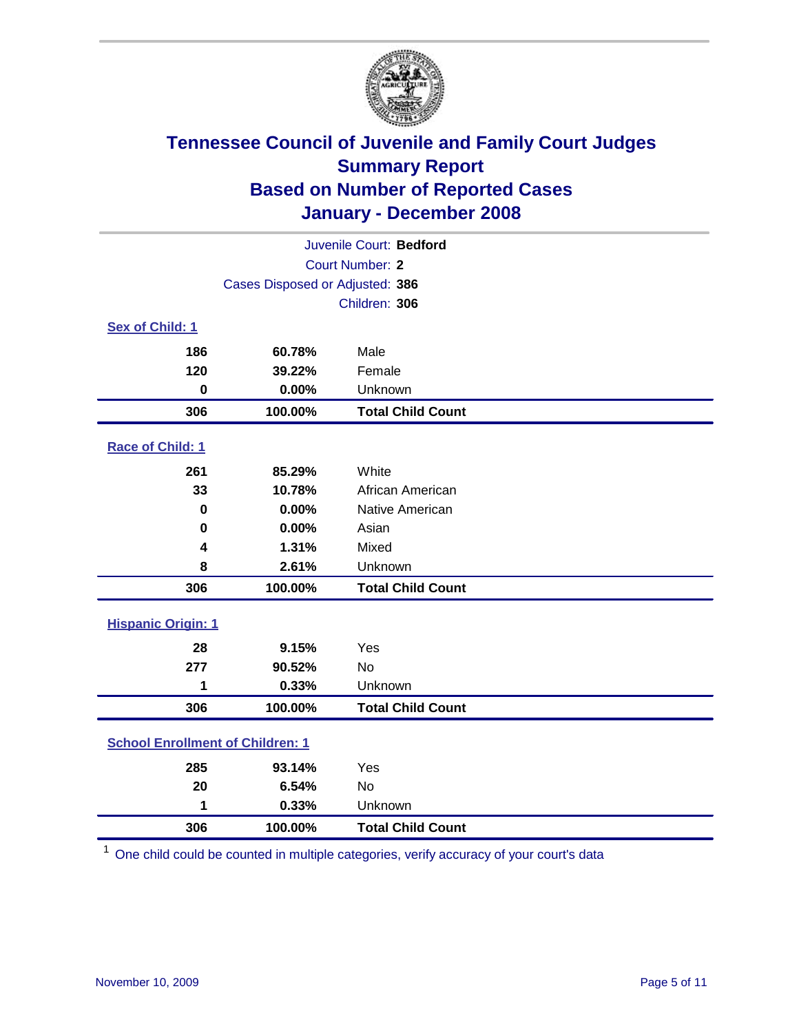

| Juvenile Court: Bedford                 |                                 |                          |  |  |  |
|-----------------------------------------|---------------------------------|--------------------------|--|--|--|
| <b>Court Number: 2</b>                  |                                 |                          |  |  |  |
|                                         | Cases Disposed or Adjusted: 386 |                          |  |  |  |
|                                         | Children: 306                   |                          |  |  |  |
| Sex of Child: 1                         |                                 |                          |  |  |  |
| 186                                     | 60.78%                          | Male                     |  |  |  |
| 120                                     | 39.22%                          | Female                   |  |  |  |
| $\bf{0}$                                | 0.00%                           | Unknown                  |  |  |  |
| 306                                     | 100.00%                         | <b>Total Child Count</b> |  |  |  |
| Race of Child: 1                        |                                 |                          |  |  |  |
| 261                                     | 85.29%                          | White                    |  |  |  |
| 33                                      | 10.78%                          | African American         |  |  |  |
| 0                                       | 0.00%                           | Native American          |  |  |  |
| 0                                       | 0.00%                           | Asian                    |  |  |  |
| 4                                       | 1.31%                           | Mixed                    |  |  |  |
| 8                                       | 2.61%                           | Unknown                  |  |  |  |
| 306                                     | 100.00%                         | <b>Total Child Count</b> |  |  |  |
| <b>Hispanic Origin: 1</b>               |                                 |                          |  |  |  |
| 28                                      | 9.15%                           | Yes                      |  |  |  |
| 277                                     | 90.52%                          | <b>No</b>                |  |  |  |
| 1                                       | 0.33%                           | Unknown                  |  |  |  |
| 306                                     | 100.00%                         | <b>Total Child Count</b> |  |  |  |
| <b>School Enrollment of Children: 1</b> |                                 |                          |  |  |  |
| 285                                     | 93.14%                          | Yes                      |  |  |  |
| 20                                      | 6.54%                           | No                       |  |  |  |
| 1                                       | 0.33%                           | Unknown                  |  |  |  |
| 306                                     | 100.00%                         | <b>Total Child Count</b> |  |  |  |

One child could be counted in multiple categories, verify accuracy of your court's data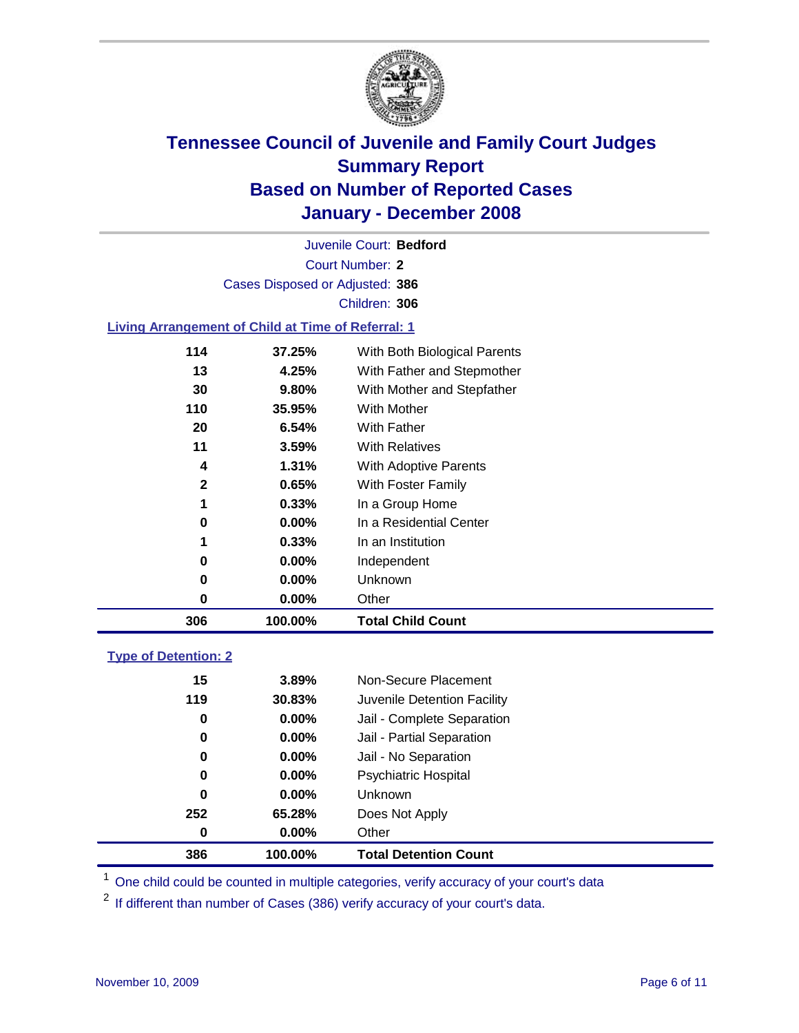

Court Number: **2** Juvenile Court: **Bedford** Cases Disposed or Adjusted: **386** Children: **306**

#### **Living Arrangement of Child at Time of Referral: 1**

| 306          | 100.00%  | <b>Total Child Count</b>     |
|--------------|----------|------------------------------|
| 0            | 0.00%    | Other                        |
| 0            | 0.00%    | Unknown                      |
| 0            | $0.00\%$ | Independent                  |
| 1            | 0.33%    | In an Institution            |
| 0            | 0.00%    | In a Residential Center      |
| 1            | 0.33%    | In a Group Home              |
| $\mathbf{2}$ | 0.65%    | With Foster Family           |
| 4            | 1.31%    | With Adoptive Parents        |
| 11           | 3.59%    | <b>With Relatives</b>        |
| 20           | 6.54%    | With Father                  |
| 110          | 35.95%   | With Mother                  |
| 30           | 9.80%    | With Mother and Stepfather   |
| 13           | 4.25%    | With Father and Stepmother   |
| 114          | 37.25%   | With Both Biological Parents |
|              |          |                              |

#### **Type of Detention: 2**

| 386 | 100.00%  | <b>Total Detention Count</b> |  |
|-----|----------|------------------------------|--|
| 0   | $0.00\%$ | Other                        |  |
| 252 | 65.28%   | Does Not Apply               |  |
| 0   | $0.00\%$ | <b>Unknown</b>               |  |
| 0   | 0.00%    | Psychiatric Hospital         |  |
| 0   | $0.00\%$ | Jail - No Separation         |  |
| 0   | $0.00\%$ | Jail - Partial Separation    |  |
| 0   | $0.00\%$ | Jail - Complete Separation   |  |
| 119 | 30.83%   | Juvenile Detention Facility  |  |
| 15  | 3.89%    | Non-Secure Placement         |  |
|     |          |                              |  |

<sup>1</sup> One child could be counted in multiple categories, verify accuracy of your court's data

<sup>2</sup> If different than number of Cases (386) verify accuracy of your court's data.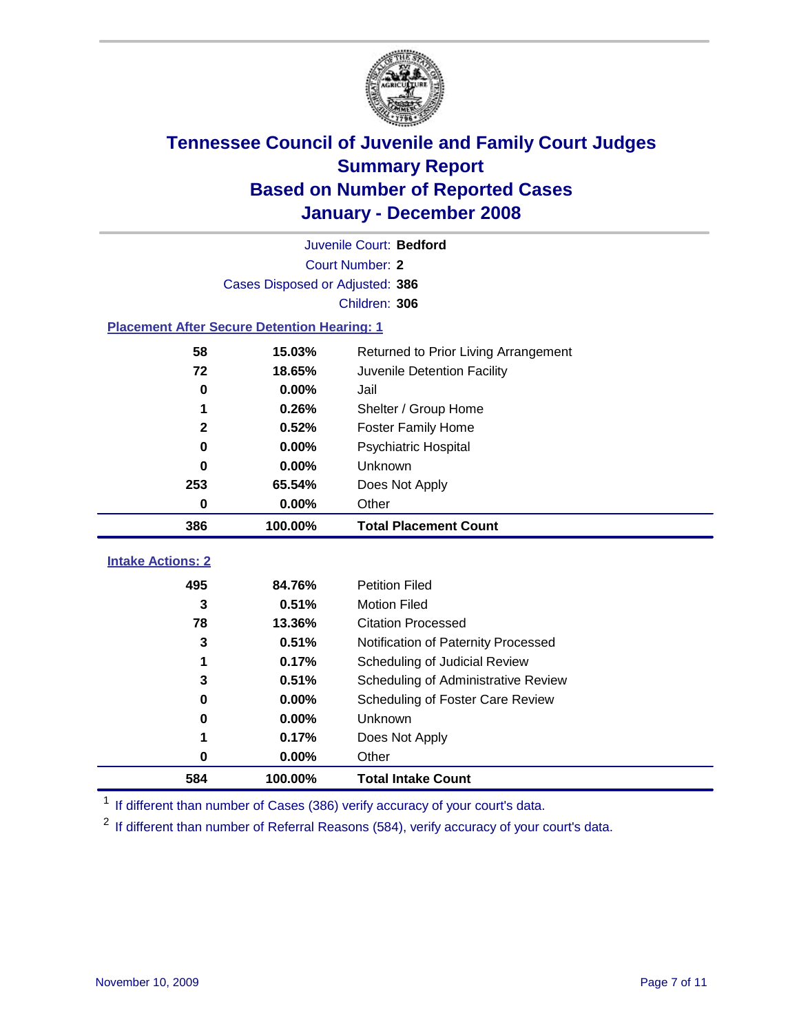

|                                                    | Juvenile Court: Bedford         |                                      |  |  |  |
|----------------------------------------------------|---------------------------------|--------------------------------------|--|--|--|
|                                                    | Court Number: 2                 |                                      |  |  |  |
|                                                    | Cases Disposed or Adjusted: 386 |                                      |  |  |  |
|                                                    |                                 | Children: 306                        |  |  |  |
| <b>Placement After Secure Detention Hearing: 1</b> |                                 |                                      |  |  |  |
| 58                                                 | 15.03%                          | Returned to Prior Living Arrangement |  |  |  |
| 72                                                 | 18.65%                          | Juvenile Detention Facility          |  |  |  |
| 0                                                  | 0.00%                           | Jail                                 |  |  |  |
| 1                                                  | 0.26%                           | Shelter / Group Home                 |  |  |  |
| $\mathbf 2$                                        | 0.52%                           | <b>Foster Family Home</b>            |  |  |  |
| 0                                                  | 0.00%                           | Psychiatric Hospital                 |  |  |  |
| 0                                                  | 0.00%                           | Unknown                              |  |  |  |
| 253                                                | 65.54%                          | Does Not Apply                       |  |  |  |
| 0                                                  | 0.00%                           | Other                                |  |  |  |
|                                                    | 100.00%                         | <b>Total Placement Count</b>         |  |  |  |
| 386                                                |                                 |                                      |  |  |  |
| <b>Intake Actions: 2</b>                           |                                 |                                      |  |  |  |
| 495                                                | 84.76%                          | <b>Petition Filed</b>                |  |  |  |
| 3                                                  | 0.51%                           | <b>Motion Filed</b>                  |  |  |  |
| 78                                                 | 13.36%                          | <b>Citation Processed</b>            |  |  |  |
| 3                                                  | 0.51%                           | Notification of Paternity Processed  |  |  |  |
| 1                                                  | 0.17%                           | Scheduling of Judicial Review        |  |  |  |
| 3                                                  | 0.51%                           | Scheduling of Administrative Review  |  |  |  |
| 0                                                  | 0.00%                           | Scheduling of Foster Care Review     |  |  |  |
| 0                                                  | 0.00%                           | Unknown                              |  |  |  |
| 1                                                  | 0.17%                           | Does Not Apply                       |  |  |  |
| 0                                                  | 0.00%                           | Other                                |  |  |  |

<sup>1</sup> If different than number of Cases (386) verify accuracy of your court's data.

<sup>2</sup> If different than number of Referral Reasons (584), verify accuracy of your court's data.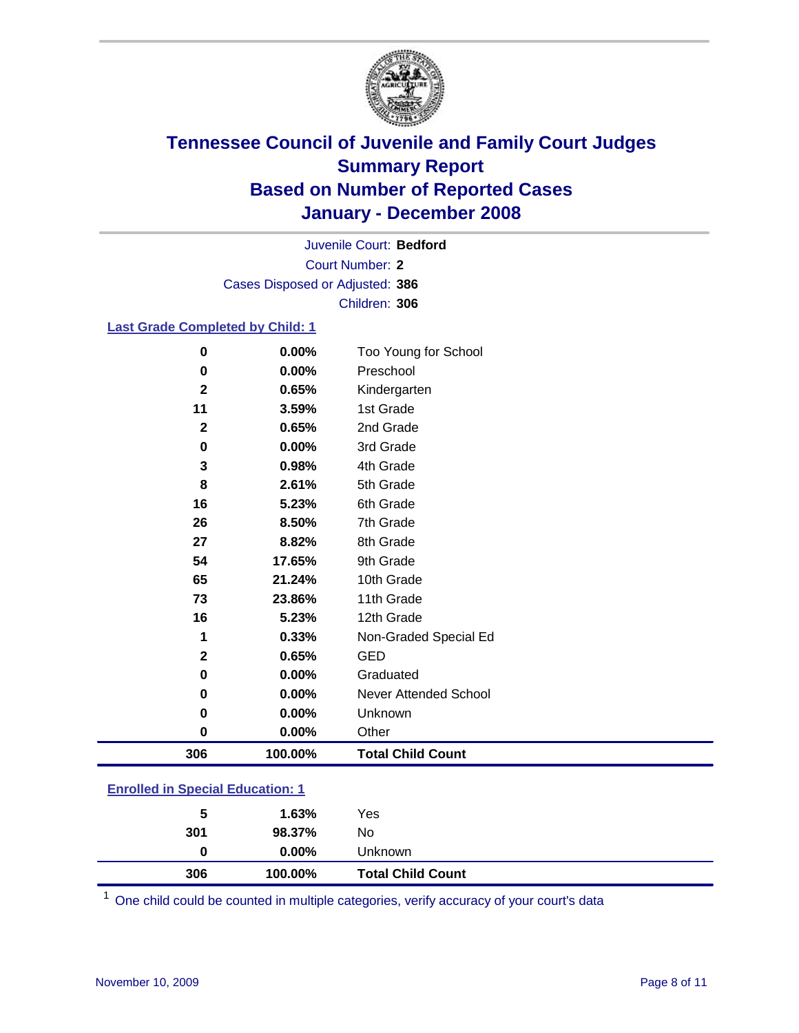

Court Number: **2** Juvenile Court: **Bedford** Cases Disposed or Adjusted: **386** Children: **306**

### **Last Grade Completed by Child: 1**

| 0            | 0.00%   | Too Young for School     |
|--------------|---------|--------------------------|
| $\bf{0}$     | 0.00%   | Preschool                |
| $\mathbf 2$  | 0.65%   | Kindergarten             |
| 11           | 3.59%   | 1st Grade                |
| $\mathbf{2}$ | 0.65%   | 2nd Grade                |
| 0            | 0.00%   | 3rd Grade                |
| 3            | 0.98%   | 4th Grade                |
| 8            | 2.61%   | 5th Grade                |
| 16           | 5.23%   | 6th Grade                |
| 26           | 8.50%   | 7th Grade                |
| 27           | 8.82%   | 8th Grade                |
| 54           | 17.65%  | 9th Grade                |
| 65           | 21.24%  | 10th Grade               |
| 73           | 23.86%  | 11th Grade               |
| 16           | 5.23%   | 12th Grade               |
| 1            | 0.33%   | Non-Graded Special Ed    |
| $\mathbf 2$  | 0.65%   | <b>GED</b>               |
| $\bf{0}$     | 0.00%   | Graduated                |
| 0            | 0.00%   | Never Attended School    |
| 0            | 0.00%   | Unknown                  |
| 0            | 0.00%   | Other                    |
| 306          | 100.00% | <b>Total Child Count</b> |

### **Enrolled in Special Education: 1**

| 301 | 98.37%   | No                       |  |
|-----|----------|--------------------------|--|
| 0   | $0.00\%$ | Unknown                  |  |
| 306 | 100.00%  | <b>Total Child Count</b> |  |

<sup>1</sup> One child could be counted in multiple categories, verify accuracy of your court's data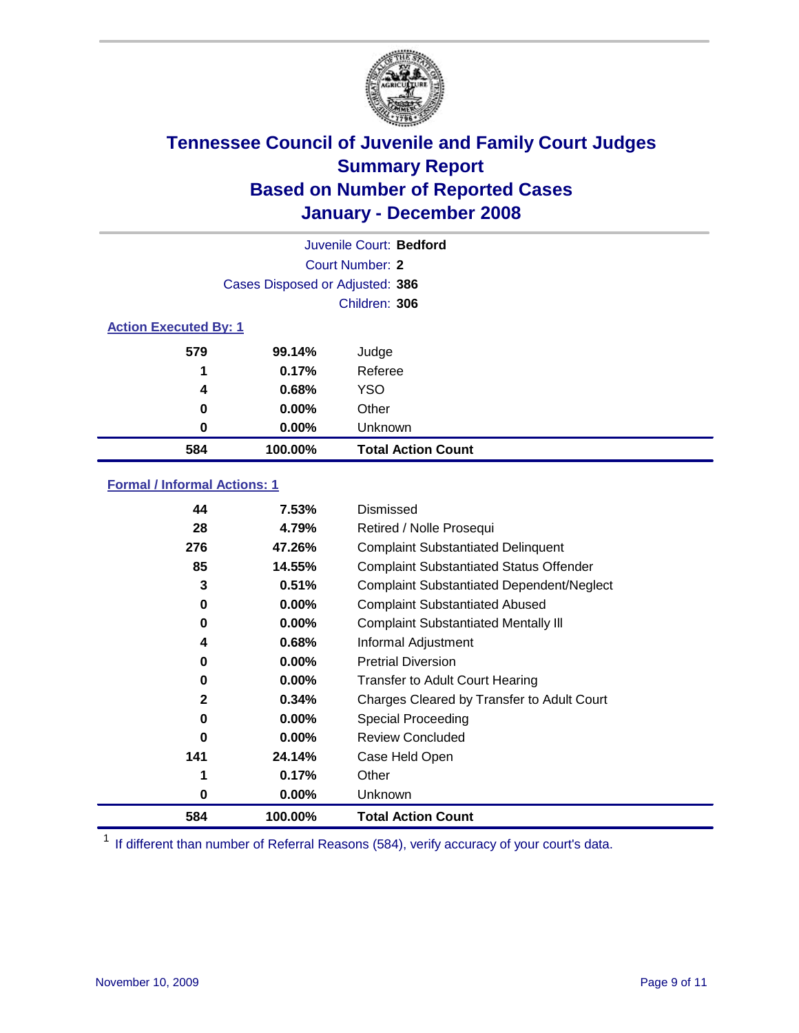

| Juvenile Court: Bedford      |                                 |                           |  |  |
|------------------------------|---------------------------------|---------------------------|--|--|
|                              | Court Number: 2                 |                           |  |  |
|                              | Cases Disposed or Adjusted: 386 |                           |  |  |
|                              | Children: 306                   |                           |  |  |
| <b>Action Executed By: 1</b> |                                 |                           |  |  |
| 579                          | 99.14%                          | Judge                     |  |  |
| 1                            | 0.17%                           | Referee                   |  |  |
| 4                            | 0.68%                           | <b>YSO</b>                |  |  |
| 0                            | $0.00\%$                        | Other                     |  |  |
| 0                            | $0.00\%$                        | Unknown                   |  |  |
| 584                          | 100.00%                         | <b>Total Action Count</b> |  |  |

### **Formal / Informal Actions: 1**

| 44           | 7.53%    | Dismissed                                        |
|--------------|----------|--------------------------------------------------|
| 28           | 4.79%    | Retired / Nolle Prosequi                         |
| 276          | 47.26%   | <b>Complaint Substantiated Delinquent</b>        |
| 85           | 14.55%   | <b>Complaint Substantiated Status Offender</b>   |
| 3            | 0.51%    | <b>Complaint Substantiated Dependent/Neglect</b> |
| 0            | $0.00\%$ | <b>Complaint Substantiated Abused</b>            |
| 0            | $0.00\%$ | <b>Complaint Substantiated Mentally III</b>      |
| 4            | 0.68%    | Informal Adjustment                              |
| 0            | $0.00\%$ | <b>Pretrial Diversion</b>                        |
| 0            | $0.00\%$ | <b>Transfer to Adult Court Hearing</b>           |
| $\mathbf{2}$ | 0.34%    | Charges Cleared by Transfer to Adult Court       |
| 0            | $0.00\%$ | Special Proceeding                               |
| 0            | $0.00\%$ | <b>Review Concluded</b>                          |
| 141          | 24.14%   | Case Held Open                                   |
| 1            | 0.17%    | Other                                            |
| 0            | $0.00\%$ | <b>Unknown</b>                                   |
| 584          | 100.00%  | <b>Total Action Count</b>                        |

<sup>1</sup> If different than number of Referral Reasons (584), verify accuracy of your court's data.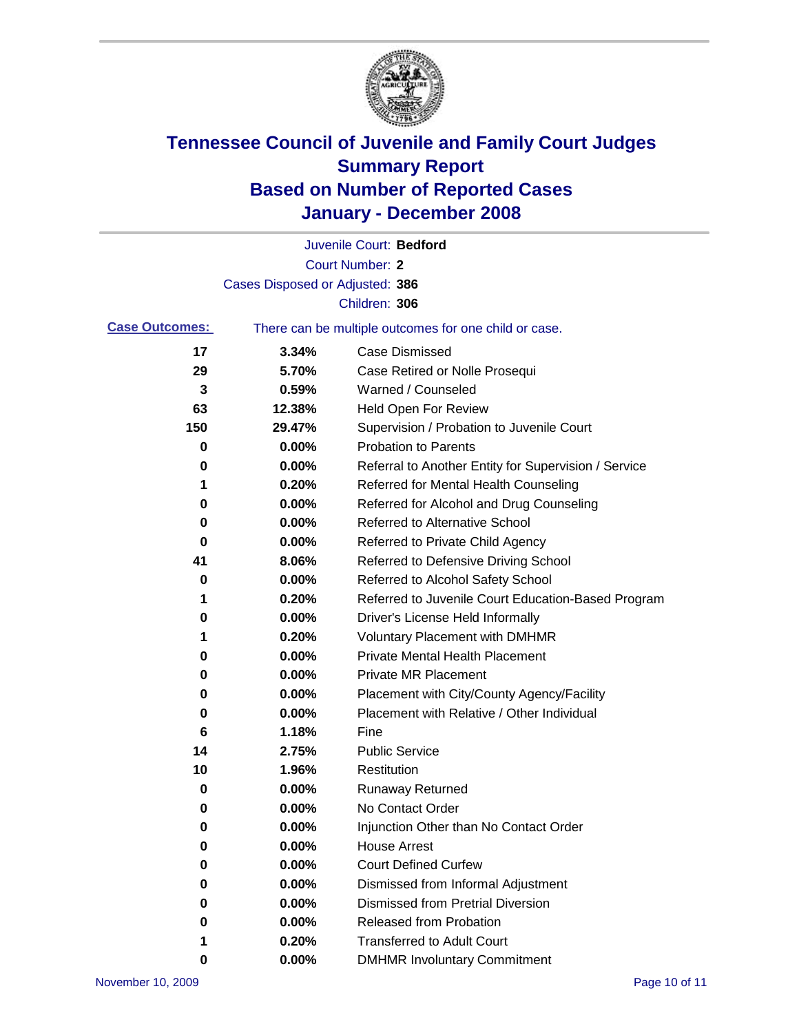

|                       |                                 | Juvenile Court: Bedford                               |
|-----------------------|---------------------------------|-------------------------------------------------------|
|                       |                                 | <b>Court Number: 2</b>                                |
|                       | Cases Disposed or Adjusted: 386 |                                                       |
|                       |                                 | Children: 306                                         |
| <b>Case Outcomes:</b> |                                 | There can be multiple outcomes for one child or case. |
| 17                    | 3.34%                           | <b>Case Dismissed</b>                                 |
| 29                    | 5.70%                           | Case Retired or Nolle Prosequi                        |
| 3                     | 0.59%                           | Warned / Counseled                                    |
| 63                    | 12.38%                          | Held Open For Review                                  |
| 150                   | 29.47%                          | Supervision / Probation to Juvenile Court             |
| 0                     | 0.00%                           | <b>Probation to Parents</b>                           |
| 0                     | 0.00%                           | Referral to Another Entity for Supervision / Service  |
| 1                     | 0.20%                           | Referred for Mental Health Counseling                 |
| 0                     | 0.00%                           | Referred for Alcohol and Drug Counseling              |
| 0                     | 0.00%                           | <b>Referred to Alternative School</b>                 |
| 0                     | 0.00%                           | Referred to Private Child Agency                      |
| 41                    | 8.06%                           | Referred to Defensive Driving School                  |
| 0                     | 0.00%                           | Referred to Alcohol Safety School                     |
| 1                     | 0.20%                           | Referred to Juvenile Court Education-Based Program    |
| 0                     | 0.00%                           | Driver's License Held Informally                      |
| 1                     | 0.20%                           | <b>Voluntary Placement with DMHMR</b>                 |
| 0                     | 0.00%                           | <b>Private Mental Health Placement</b>                |
| 0                     | 0.00%                           | Private MR Placement                                  |
| 0                     | 0.00%                           | Placement with City/County Agency/Facility            |
| 0                     | 0.00%                           | Placement with Relative / Other Individual            |
| 6                     | 1.18%                           | Fine                                                  |
| 14                    | 2.75%                           | <b>Public Service</b>                                 |
| 10                    | 1.96%                           | Restitution                                           |
| 0                     | 0.00%                           | <b>Runaway Returned</b>                               |
| 0                     | 0.00%                           | No Contact Order                                      |
| 0                     | 0.00%                           | Injunction Other than No Contact Order                |
| 0                     | 0.00%                           | <b>House Arrest</b>                                   |
| 0                     | 0.00%                           | <b>Court Defined Curfew</b>                           |
| 0                     | 0.00%                           | Dismissed from Informal Adjustment                    |
| 0                     | 0.00%                           | <b>Dismissed from Pretrial Diversion</b>              |
| 0                     | 0.00%                           | <b>Released from Probation</b>                        |
|                       | 0.20%                           | <b>Transferred to Adult Court</b>                     |
| 0                     | 0.00%                           | <b>DMHMR Involuntary Commitment</b>                   |